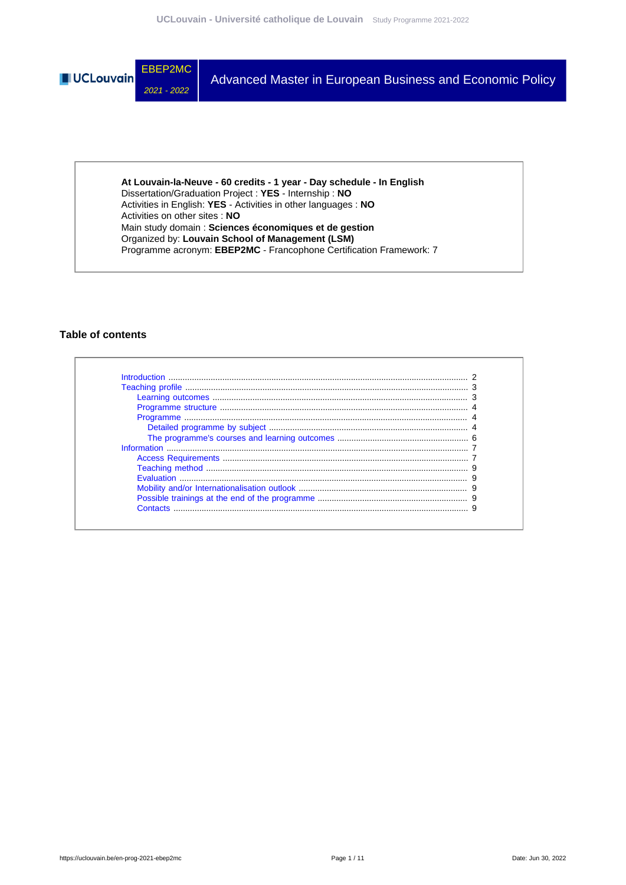

**At Louvain-la-Neuve - 60 credits - 1 year - Day schedule - In English** Dissertation/Graduation Project : **YES** - Internship : **NO** Activities in English: **YES** - Activities in other languages : **NO** Activities on other sites : **NO** Main study domain : **Sciences économiques et de gestion** Organized by: **Louvain School of Management (LSM)** Programme acronym: **EBEP2MC** - Francophone Certification Framework: 7

### **Table of contents**

| <b>Evaluation</b> |  |
|-------------------|--|
|                   |  |
|                   |  |
| Contacts          |  |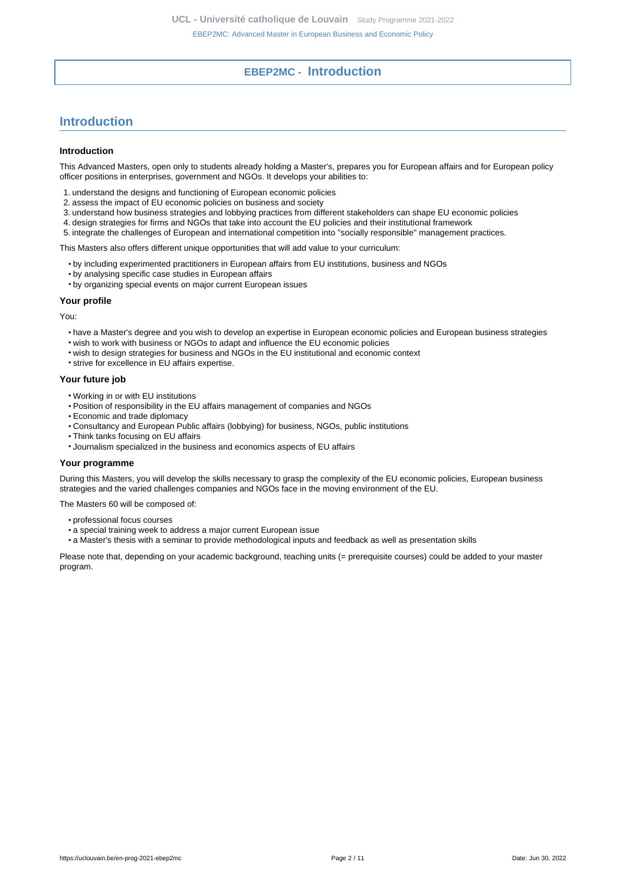### **EBEP2MC - Introduction**

# <span id="page-1-0"></span>**Introduction**

#### **Introduction**

This Advanced Masters, open only to students already holding a Master's, prepares you for European affairs and for European policy officer positions in enterprises, government and NGOs. It develops your abilities to:

- 1. understand the designs and functioning of European economic policies
- 2. assess the impact of EU economic policies on business and society
- 3. understand how business strategies and lobbying practices from different stakeholders can shape EU economic policies
- 4. design strategies for firms and NGOs that take into account the EU policies and their institutional framework
- 5. integrate the challenges of European and international competition into "socially responsible" management practices.

This Masters also offers different unique opportunities that will add value to your curriculum:

- by including experimented practitioners in European affairs from EU institutions, business and NGOs
- by analysing specific case studies in European affairs
- by organizing special events on major current European issues

#### **Your profile**

You:

- have a Master's degree and you wish to develop an expertise in European economic policies and European business strategies
- wish to work with business or NGOs to adapt and influence the EU economic policies
- wish to design strategies for business and NGOs in the EU institutional and economic context
- strive for excellence in EU affairs expertise.

#### **Your future job**

- Working in or with EU institutions
- Position of responsibility in the EU affairs management of companies and NGOs
- Economic and trade diplomacy
- Consultancy and European Public affairs (lobbying) for business, NGOs, public institutions
- Think tanks focusing on EU affairs
- Journalism specialized in the business and economics aspects of EU affairs

#### **Your programme**

During this Masters, you will develop the skills necessary to grasp the complexity of the EU economic policies, European business strategies and the varied challenges companies and NGOs face in the moving environment of the EU.

The Masters 60 will be composed of:

- professional focus courses
- a special training week to address a major current European issue
- a Master's thesis with a seminar to provide methodological inputs and feedback as well as presentation skills

Please note that, depending on your academic background, teaching units (= prerequisite courses) could be added to your master program.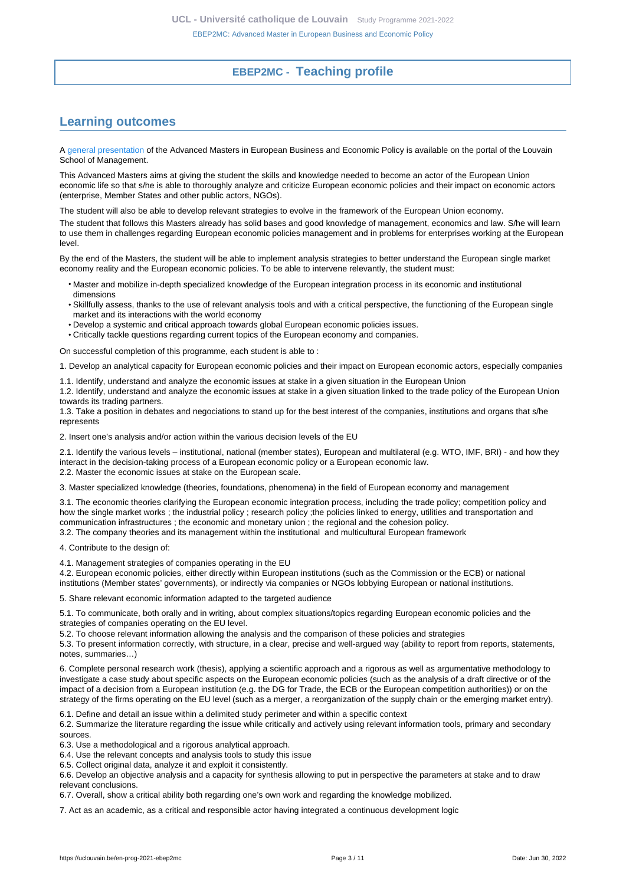### **EBEP2MC - Teaching profile**

# <span id="page-2-1"></span><span id="page-2-0"></span>**Learning outcomes**

A [general presentation](https://uclouvain.be/en/faculties/lsm/european-business.html) of the Advanced Masters in European Business and Economic Policy is available on the portal of the Louvain School of Management.

This Advanced Masters aims at giving the student the skills and knowledge needed to become an actor of the European Union economic life so that s/he is able to thoroughly analyze and criticize European economic policies and their impact on economic actors (enterprise, Member States and other public actors, NGOs).

The student will also be able to develop relevant strategies to evolve in the framework of the European Union economy.

The student that follows this Masters already has solid bases and good knowledge of management, economics and law. S/he will learn to use them in challenges regarding European economic policies management and in problems for enterprises working at the European level.

By the end of the Masters, the student will be able to implement analysis strategies to better understand the European single market economy reality and the European economic policies. To be able to intervene relevantly, the student must:

- Master and mobilize in-depth specialized knowledge of the European integration process in its economic and institutional dimensions
- Skillfully assess, thanks to the use of relevant analysis tools and with a critical perspective, the functioning of the European single market and its interactions with the world economy
- Develop a systemic and critical approach towards global European economic policies issues.
- Critically tackle questions regarding current topics of the European economy and companies.

On successful completion of this programme, each student is able to :

1. Develop an analytical capacity for European economic policies and their impact on European economic actors, especially companies

1.1. Identify, understand and analyze the economic issues at stake in a given situation in the European Union

1.2. Identify, understand and analyze the economic issues at stake in a given situation linked to the trade policy of the European Union towards its trading partners.

1.3. Take a position in debates and negociations to stand up for the best interest of the companies, institutions and organs that s/he represents

2. Insert one's analysis and/or action within the various decision levels of the EU

2.1. Identify the various levels – institutional, national (member states), European and multilateral (e.g. WTO, IMF, BRI) - and how they interact in the decision-taking process of a European economic policy or a European economic law. 2.2. Master the economic issues at stake on the European scale.

3. Master specialized knowledge (theories, foundations, phenomena) in the field of European economy and management

3.1. The economic theories clarifying the European economic integration process, including the trade policy; competition policy and how the single market works ; the industrial policy ; research policy ; the policies linked to energy, utilities and transportation and communication infrastructures ; the economic and monetary union ; the regional and the cohesion policy.

3.2. The company theories and its management within the institutional and multicultural European framework

4. Contribute to the design of:

4.1. Management strategies of companies operating in the EU

4.2. European economic policies, either directly within European institutions (such as the Commission or the ECB) or national institutions (Member states' governments), or indirectly via companies or NGOs lobbying European or national institutions.

5. Share relevant economic information adapted to the targeted audience

5.1. To communicate, both orally and in writing, about complex situations/topics regarding European economic policies and the strategies of companies operating on the EU level.

5.2. To choose relevant information allowing the analysis and the comparison of these policies and strategies

5.3. To present information correctly, with structure, in a clear, precise and well-argued way (ability to report from reports, statements, notes, summaries…)

6. Complete personal research work (thesis), applying a scientific approach and a rigorous as well as argumentative methodology to investigate a case study about specific aspects on the European economic policies (such as the analysis of a draft directive or of the impact of a decision from a European institution (e.g. the DG for Trade, the ECB or the European competition authorities)) or on the strategy of the firms operating on the EU level (such as a merger, a reorganization of the supply chain or the emerging market entry).

6.1. Define and detail an issue within a delimited study perimeter and within a specific context

6.2. Summarize the literature regarding the issue while critically and actively using relevant information tools, primary and secondary sources.

6.3. Use a methodological and a rigorous analytical approach.

6.4. Use the relevant concepts and analysis tools to study this issue

6.5. Collect original data, analyze it and exploit it consistently.

6.6. Develop an objective analysis and a capacity for synthesis allowing to put in perspective the parameters at stake and to draw relevant conclusions.

6.7. Overall, show a critical ability both regarding one's own work and regarding the knowledge mobilized.

7. Act as an academic, as a critical and responsible actor having integrated a continuous development logic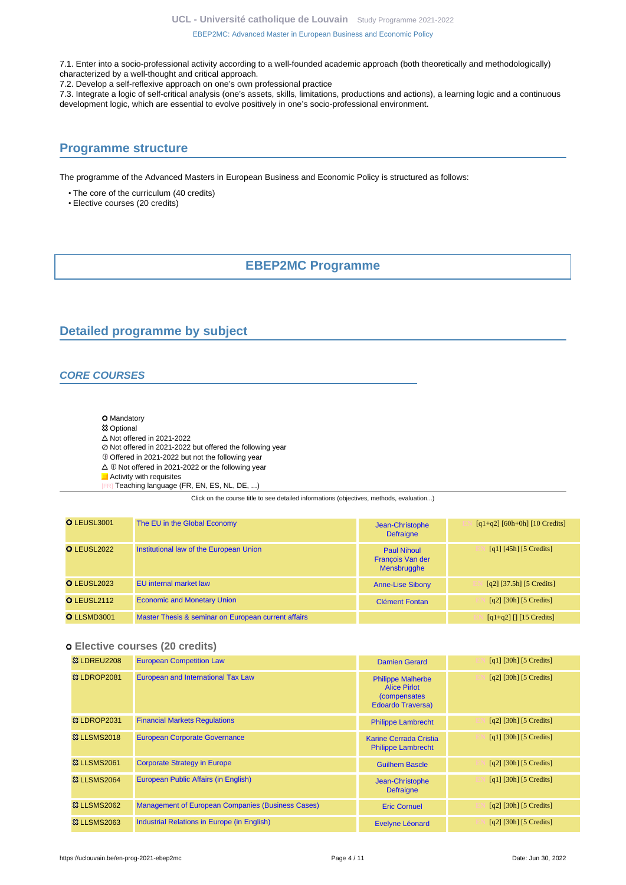**UCL - Université catholique de Louvain** [Study Programme 2021-2022](https://uclouvain.be/en/study-programme)

[EBEP2MC: Advanced Master in European Business and Economic Policy](https://uclouvain.be/en-prog-2021-ebep2mc.html)

7.1. Enter into a socio-professional activity according to a well-founded academic approach (both theoretically and methodologically) characterized by a well-thought and critical approach.

7.2. Develop a self-reflexive approach on one's own professional practice

7.3. Integrate a logic of self-critical analysis (one's assets, skills, limitations, productions and actions), a learning logic and a continuous development logic, which are essential to evolve positively in one's socio-professional environment.

### <span id="page-3-0"></span>**Programme structure**

The programme of the Advanced Masters in European Business and Economic Policy is structured as follows:

• The core of the curriculum (40 credits)

<span id="page-3-1"></span>• Elective courses (20 credits)

### **EBEP2MC Programme**

### <span id="page-3-2"></span>**Detailed programme by subject**

### **CORE COURSES**

- **O** Mandatory
- **83 Optional**
- $\triangle$  Not offered in 2021-2022
- Not offered in 2021-2022 but offered the following year
- $\oplus$  Offered in 2021-2022 but not the following year
- $\Delta \oplus$  Not offered in 2021-2022 or the following year
- **Activity with requisites** 
	- Teaching language (FR, EN, ES, NL, DE, ...)

Click on the course title to see detailed informations (objectives, methods, evaluation...)

| O LEUSL3001        | The EU in the Global Economy                        | Jean-Christophe<br><b>Defraigne</b>                          | $[q1+q2] [60h+0h] [10 Credits]$                                   |
|--------------------|-----------------------------------------------------|--------------------------------------------------------------|-------------------------------------------------------------------|
| O LEUSL2022        | Institutional law of the European Union             | <b>Paul Nihoul</b><br>François Van der<br><b>Mensbrugghe</b> | $\lceil q_1 \rceil$ [45h] [5 Credits]                             |
| <b>O</b> LEUSL2023 | EU internal market law                              | <b>Anne-Lise Sibony</b>                                      | $[q2]$ [37.5h] [5 Credits]                                        |
| O LEUSL2112        | <b>Economic and Monetary Union</b>                  | <b>Clément Fontan</b>                                        | $\lceil q^2 \rceil$ [30h] [5 Credits]                             |
| O LLSMD3001        | Master Thesis & seminar on European current affairs |                                                              | $\lceil q_1 + q_2 \rceil \rceil \lceil 15 \text{ Credits} \rceil$ |

### **Elective courses (20 credits)**

| <b>83 LDREU2208</b>     | <b>European Competition Law</b>                          | <b>Damien Gerard</b>                                                                                | $\lceil q_1 \rceil$ [30h] [5 Credits] |
|-------------------------|----------------------------------------------------------|-----------------------------------------------------------------------------------------------------|---------------------------------------|
| <b>23 LDROP2081</b>     | European and International Tax Law                       | <b>Philippe Malherbe</b><br><b>Alice Pirlot</b><br><i>(compensates)</i><br><b>Edoardo Traversa)</b> | $\lceil q^2 \rceil$ [30h] [5 Credits] |
| <b>&amp; LDROP2031</b>  | <b>Financial Markets Regulations</b>                     | <b>Philippe Lambrecht</b>                                                                           | $\lceil q^2 \rceil$ [30h] [5 Credits] |
| <b>&amp;3 LLSMS2018</b> | <b>European Corporate Governance</b>                     | Karine Cerrada Cristia<br><b>Philippe Lambrecht</b>                                                 | $\lceil q_1 \rceil$ [30h] [5 Credits] |
| <b>&amp;3 LLSMS2061</b> | <b>Corporate Strategy in Europe</b>                      | <b>Guilhem Bascle</b>                                                                               | $[q2]$ [30h] [5 Credits]              |
| <b>&amp; LLSMS2064</b>  | European Public Affairs (in English)                     | Jean-Christophe<br><b>Defraigne</b>                                                                 | $[q1]$ [30h] [5 Credits]              |
| <b>&amp; LLSMS2062</b>  | <b>Management of European Companies (Business Cases)</b> | <b>Eric Cornuel</b>                                                                                 | $[q2]$ [30h] [5 Credits]              |
| <b>&amp;3 LLSMS2063</b> | Industrial Relations in Europe (in English)              | Evelyne Léonard                                                                                     | $\lceil q^2 \rceil$ [30h] [5 Credits] |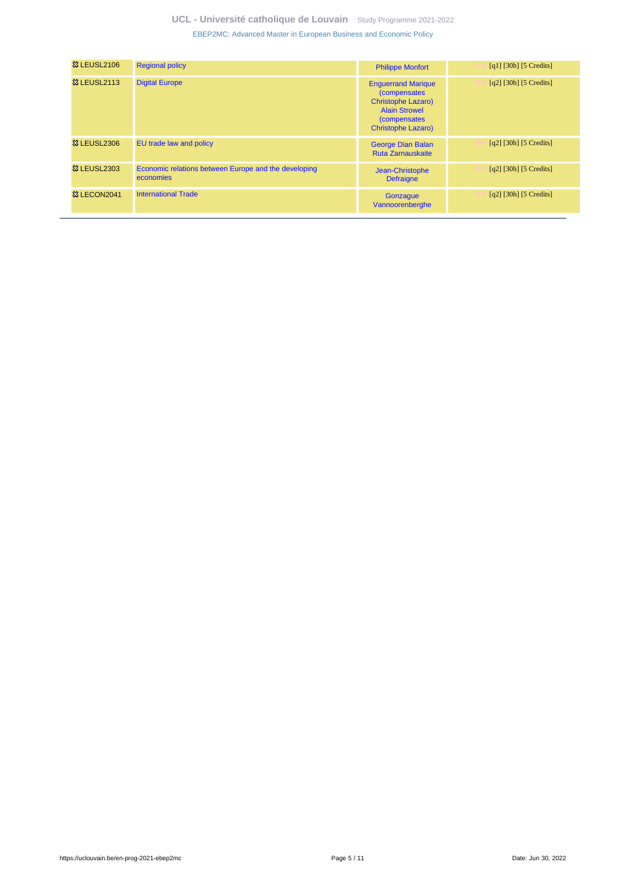| <b>&amp; LEUSL2106</b> | <b>Regional policy</b>                                            | <b>Philippe Monfort</b>                                                                                                                                     | [q1] [30h] [5 Credits]                |
|------------------------|-------------------------------------------------------------------|-------------------------------------------------------------------------------------------------------------------------------------------------------------|---------------------------------------|
| <b>&amp; LEUSL2113</b> | <b>Digital Europe</b>                                             | <b>Enguerrand Marique</b><br><i>(compensates)</i><br><b>Christophe Lazaro)</b><br><b>Alain Strowel</b><br><i>(compensates)</i><br><b>Christophe Lazaro)</b> | $[q2]$ [30h] [5 Credits]              |
| <b>&amp; LEUSL2306</b> | EU trade law and policy                                           | <b>George Dian Balan</b><br><b>Ruta Zarnauskaite</b>                                                                                                        | $\lceil q^2 \rceil$ [30h] [5 Credits] |
| <b>&amp; LEUSL2303</b> | Economic relations between Europe and the developing<br>economies | Jean-Christophe<br><b>Defraigne</b>                                                                                                                         | $\lceil q^2 \rceil$ [30h] [5 Credits] |
| <b>&amp; LECON2041</b> | <b>International Trade</b>                                        | Gonzaque<br>Vannoorenberghe                                                                                                                                 | $\lceil q^2 \rceil$ [30h] [5 Credits] |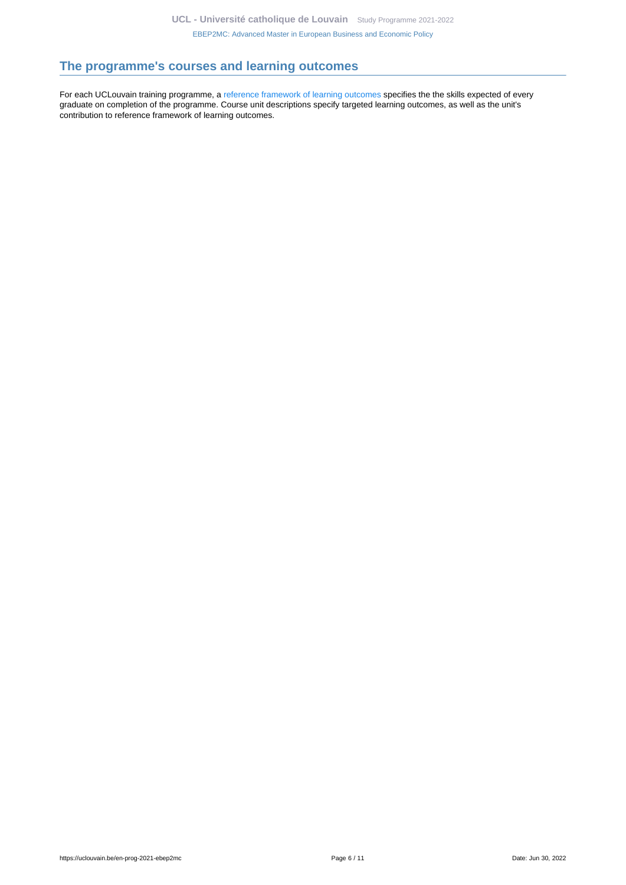### <span id="page-5-0"></span>**The programme's courses and learning outcomes**

For each UCLouvain training programme, a [reference framework of learning outcomes](https://uclouvain.be/en-prog-2021-ebep2mc-competences_et_acquis.html) specifies the the skills expected of every graduate on completion of the programme. Course unit descriptions specify targeted learning outcomes, as well as the unit's contribution to reference framework of learning outcomes.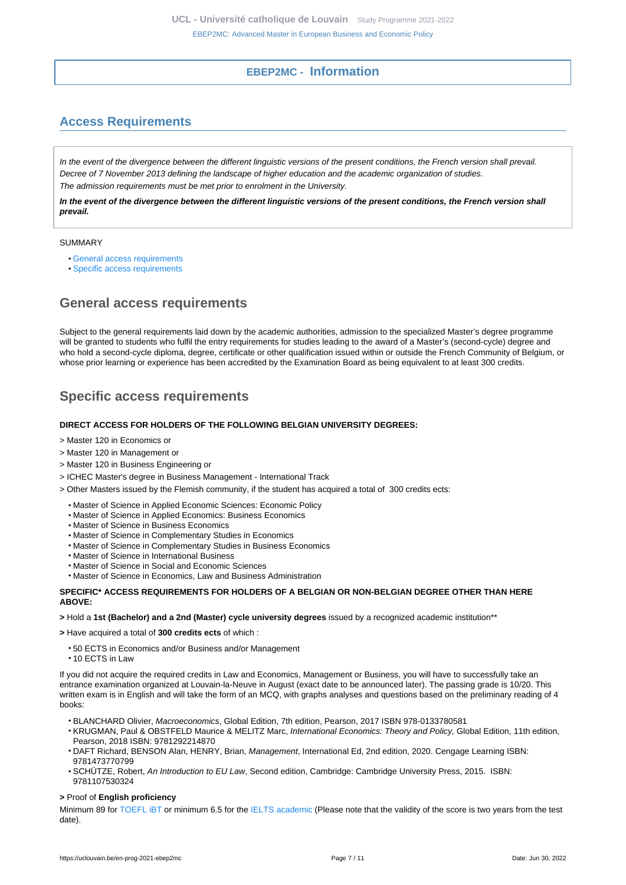### **EBEP2MC - Information**

# <span id="page-6-1"></span><span id="page-6-0"></span>**Access Requirements**

In the event of the divergence between the different linguistic versions of the present conditions, the French version shall prevail. Decree of 7 November 2013 defining the landscape of higher education and the academic organization of studies. The admission requirements must be met prior to enrolment in the University.

**In the event of the divergence between the different linguistic versions of the present conditions, the French version shall prevail.**

#### SUMMARY

- [General access requirements](#page-6-2)
- [Specific access requirements](#page-6-3)

### <span id="page-6-2"></span>**General access requirements**

Subject to the general requirements laid down by the academic authorities, admission to the specialized Master's degree programme will be granted to students who fulfil the entry requirements for studies leading to the award of a Master's (second-cycle) degree and who hold a second-cycle diploma, degree, certificate or other qualification issued within or outside the French Community of Belgium, or whose prior learning or experience has been accredited by the Examination Board as being equivalent to at least 300 credits.

# <span id="page-6-3"></span>**Specific access requirements**

#### **DIRECT ACCESS FOR HOLDERS OF THE FOLLOWING BELGIAN UNIVERSITY DEGREES:**

- > Master 120 in Economics or
- > Master 120 in Management or
- > Master 120 in Business Engineering or
- > ICHEC Master's degree in Business Management International Track
- > Other Masters issued by the Flemish community, if the student has acquired a total of 300 credits ects:
	- Master of Science in Applied Economic Sciences: Economic Policy
	- Master of Science in Applied Economics: Business Economics
	- Master of Science in Business Economics
	- Master of Science in Complementary Studies in Economics
	- Master of Science in Complementary Studies in Business Economics
	- Master of Science in International Business
	- Master of Science in Social and Economic Sciences
	- Master of Science in Economics, Law and Business Administration

#### **SPECIFIC\* ACCESS REQUIREMENTS FOR HOLDERS OF A BELGIAN OR NON-BELGIAN DEGREE OTHER THAN HERE ABOVE:**

#### **>** Hold a **1st (Bachelor) and a 2nd (Master) cycle university degrees** issued by a recognized academic institution\*\*

**>** Have acquired a total of **300 credits ects** of which :

- 50 ECTS in Economics and/or Business and/or Management
- 10 ECTS in Law

If you did not acquire the required credits in Law and Economics, Management or Business, you will have to successfully take an entrance examination organized at Louvain-la-Neuve in August (exact date to be announced later). The passing grade is 10/20. This written exam is in English and will take the form of an MCQ, with graphs analyses and questions based on the preliminary reading of 4 books:

- BLANCHARD Olivier, Macroeconomics, Global Edition, 7th edition, Pearson, 2017 ISBN 978-0133780581
- KRUGMAN, Paul & OBSTFELD Maurice & MELITZ Marc, International Economics: Theory and Policy, Global Edition, 11th edition, Pearson, 2018 ISBN: 9781292214870
- DAFT Richard, BENSON Alan, HENRY, Brian, Management, International Ed, 2nd edition, 2020. Cengage Learning ISBN: 9781473770799
- SCHÜTZE, Robert, An Introduction to EU Law, Second edition, Cambridge: Cambridge University Press, 2015. ISBN: 9781107530324

#### **>** Proof of **English proficiency**

Minimum 89 for TOEFL IBT or minimum 6.5 for th[e IELTS academic](http://www.ielts.org/) (Please note that the validity of the score is two years from the test date).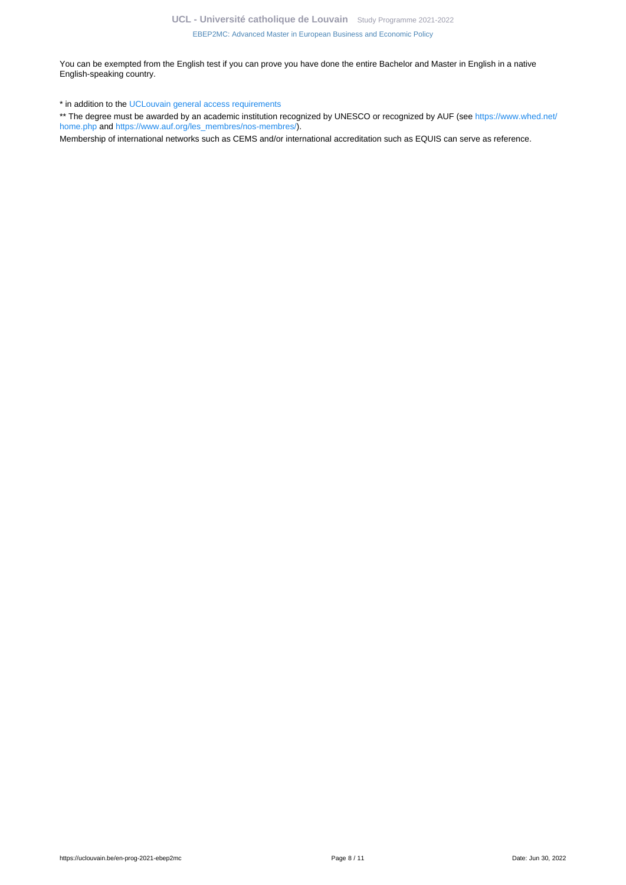You can be exempted from the English test if you can prove you have done the entire Bachelor and Master in English in a native English-speaking country.

\* in addition to the [UCLouvain general access requirements](https://uclouvain.be/en-prog-ebep2mc-cond_adm)

\*\* The degree must be awarded by an academic institution recognized by UNESCO or recognized by AUF (see [https://www.whed.net/](https://www.whed.net/home.php) [home.php](https://www.whed.net/home.php) and [https://www.auf.org/les\\_membres/nos-membres/](https://www.auf.org/les_membres/nos-membres/)).

Membership of international networks such as CEMS and/or international accreditation such as EQUIS can serve as reference.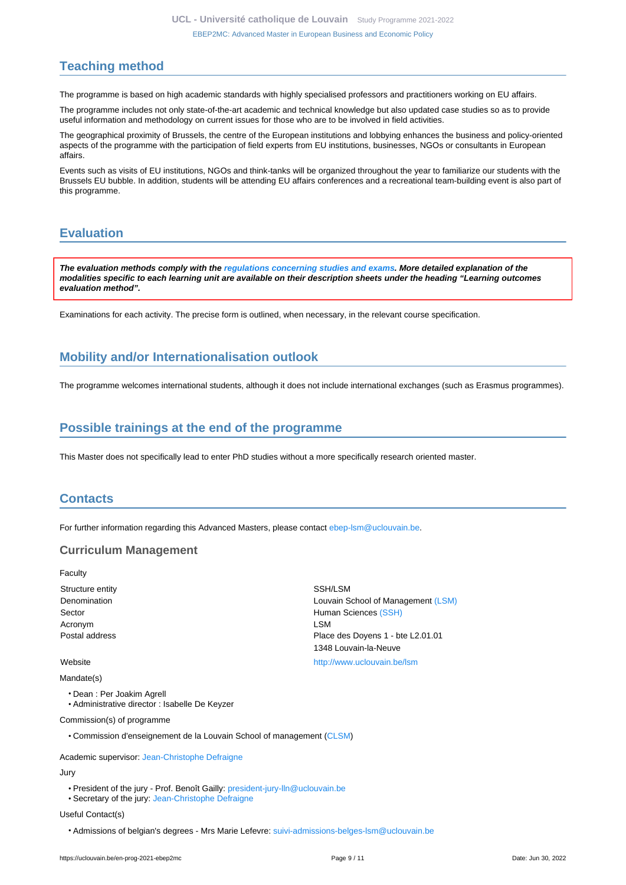### <span id="page-8-0"></span>**Teaching method**

The programme is based on high academic standards with highly specialised professors and practitioners working on EU affairs.

The programme includes not only state-of-the-art academic and technical knowledge but also updated case studies so as to provide useful information and methodology on current issues for those who are to be involved in field activities.

The geographical proximity of Brussels, the centre of the European institutions and lobbying enhances the business and policy-oriented aspects of the programme with the participation of field experts from EU institutions, businesses, NGOs or consultants in European affairs.

Events such as visits of EU institutions, NGOs and think-tanks will be organized throughout the year to familiarize our students with the Brussels EU bubble. In addition, students will be attending EU affairs conferences and a recreational team-building event is also part of this programme.

# <span id="page-8-1"></span>**Evaluation**

**The evaluation methods comply with the [regulations concerning studies and exams](https://uclouvain.be/fr/decouvrir/rgee.html). More detailed explanation of the modalities specific to each learning unit are available on their description sheets under the heading "Learning outcomes evaluation method".**

Examinations for each activity. The precise form is outlined, when necessary, in the relevant course specification.

### <span id="page-8-2"></span>**Mobility and/or Internationalisation outlook**

The programme welcomes international students, although it does not include international exchanges (such as Erasmus programmes).

### <span id="page-8-3"></span>**Possible trainings at the end of the programme**

This Master does not specifically lead to enter PhD studies without a more specifically research oriented master.

### <span id="page-8-4"></span>**Contacts**

For further information regarding this Advanced Masters, please contact [ebep-lsm@uclouvain.be](https://uclouvain.be/mailto:mailto:ebep-lsm@uclouvain.be).

### **Curriculum Management**

Faculty Structure entity **SSH/LSM** 

Mandate(s)

- Dean : Per Joakim Agrell
- Administrative director : Isabelle De Keyzer

Commission(s) of programme

• Commission d'enseignement de la Louvain School of management [\(CLSM](https://uclouvain.be/fr/repertoires/entites/CLSM))

Academic supervisor: [Jean-Christophe Defraigne](https://uclouvain.be/repertoires/jean-christophe.defraigne) Jury

- President of the jury Prof. Benoît Gailly: [president-jury-lln@uclouvain.be](https://uclouvain.be/mailto:president-jury-lln@uclouvain.be)
- Secretary of the jury: [Jean-Christophe Defraigne](https://uclouvain.be/repertoires/jean-christophe.defraigne)

#### Useful Contact(s)

• Admissions of belgian's degrees - Mrs Marie Lefevre: [suivi-admissions-belges-lsm@uclouvain.be](https://uclouvain.be/mailto:suivi-admissions-belges-lsm@uclouvain.be)

Denomination Louvain School of Management [\(LSM\)](https://uclouvain.be/repertoires/entites/lsm) Sector **Human Sciences** [\(SSH\)](https://uclouvain.be/repertoires/entites/ssh) Acronym LSM Postal address **Postal address** Place des Doyens 1 - bte L2.01.01 1348 Louvain-la-Neuve Website <http://www.uclouvain.be/lsm>